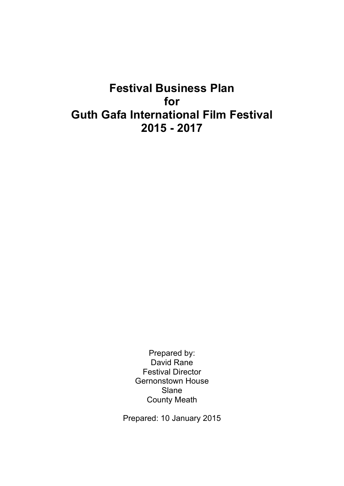# **Festival Business Plan for Guth Gafa International Film Festival 2015 - 2017**

Prepared by: David Rane Festival Director Gernonstown House Slane County Meath

Prepared: 10 January 2015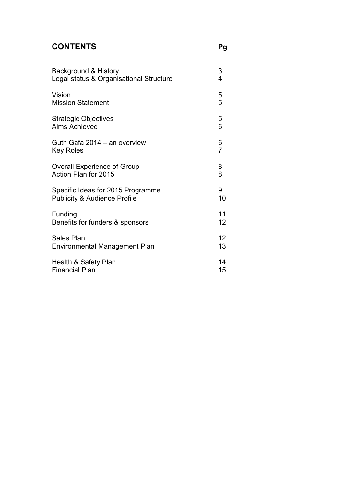### **CONTENTS Pg**

| Background & History                    | 3              |
|-----------------------------------------|----------------|
| Legal status & Organisational Structure | 4              |
| Vision                                  | 5              |
| <b>Mission Statement</b>                | 5              |
| <b>Strategic Objectives</b>             | 5              |
| <b>Aims Achieved</b>                    | 6              |
| Guth Gafa 2014 - an overview            | 6              |
| <b>Key Roles</b>                        | $\overline{7}$ |
| <b>Overall Experience of Group</b>      | 8              |
| Action Plan for 2015                    | 8              |
| Specific Ideas for 2015 Programme       | 9              |
| <b>Publicity &amp; Audience Profile</b> | 10             |
| Funding                                 | 11             |
| Benefits for funders & sponsors         | 12             |
| Sales Plan                              | 12             |
| Environmental Management Plan           | 13             |
| Health & Safety Plan                    | 14             |
| <b>Financial Plan</b>                   | 15             |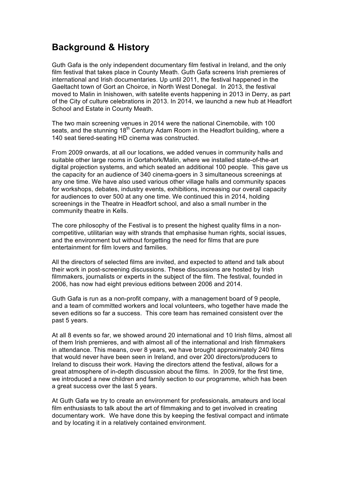### **Background & History**

Guth Gafa is the only independent documentary film festival in Ireland, and the only film festival that takes place in County Meath. Guth Gafa screens Irish premieres of international and Irish documentaries. Up until 2011, the festival happened in the Gaeltacht town of Gort an Choirce, in North West Donegal. In 2013, the festival moved to Malin in Inishowen, with satelite events happening in 2013 in Derry, as part of the City of culture celebrations in 2013. In 2014, we launchd a new hub at Headfort School and Estate in County Meath.

The two main screening venues in 2014 were the national Cinemobile, with 100 seats, and the stunning  $18<sup>th</sup>$  Century Adam Room in the Headfort building, where a 140 seat tiered-seating HD cinema was constructed.

From 2009 onwards, at all our locations, we added venues in community halls and suitable other large rooms in Gortahork/Malin, where we installed state-of-the-art digital projection systems, and which seated an additional 100 people. This gave us the capacity for an audience of 340 cinema-goers in 3 simultaneous screenings at any one time. We have also used various other village halls and community spaces for workshops, debates, industry events, exhibitions, increasing our overall capacity for audiences to over 500 at any one time. We continued this in 2014, holding screenings in the Theatre in Headfort school, and also a small number in the community theatre in Kells.

The core philosophy of the Festival is to present the highest quality films in a noncompetitive, utilitarian way with strands that emphasise human rights, social issues, and the environment but without forgetting the need for films that are pure entertainment for film lovers and families.

All the directors of selected films are invited, and expected to attend and talk about their work in post-screening discussions. These discussions are hosted by Irish filmmakers, journalists or experts in the subject of the film. The festival, founded in 2006, has now had eight previous editions between 2006 and 2014.

Guth Gafa is run as a non-profit company, with a management board of 9 people, and a team of committed workers and local volunteers, who together have made the seven editions so far a success. This core team has remained consistent over the past 5 years.

At all 8 events so far, we showed around 20 international and 10 Irish films, almost all of them Irish premieres, and with almost all of the international and Irish filmmakers in attendance. This means, over 8 years, we have brought approximately 240 films that would never have been seen in Ireland, and over 200 directors/producers to Ireland to discuss their work. Having the directors attend the festival, allows for a great atmosphere of in-depth discussion about the films. In 2009, for the first time, we introduced a new children and family section to our programme, which has been a great success over the last 5 years.

At Guth Gafa we try to create an environment for professionals, amateurs and local film enthusiasts to talk about the art of filmmaking and to get involved in creating documentary work. We have done this by keeping the festival compact and intimate and by locating it in a relatively contained environment.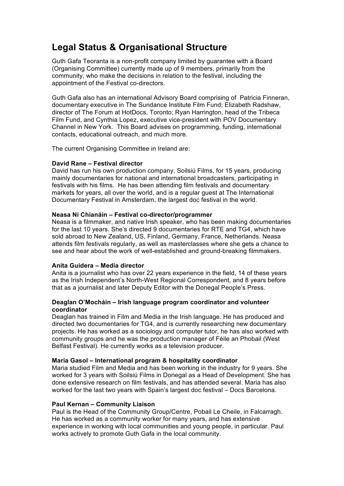# **Legal Status & Organisational Structure**

Guth Gafa Teoranta is a non-profit company limited by guarantee with a Board (Organising Committee) currently made up of 9 members, primarily from the community, who make the decisions in relation to the festival, including the appointment of the Festival co-directors.

Guth Gafa also has an international Advisory Board comprising of Patricia Finneran, documentary executive in The Sundance Institute Film Fund; Elizabeth Radshaw, director of The Forum at HotDocs, Toronto; Ryan Harrington, head of the Tribeca Film Fund, and Cynthia Lopez, executive vice-president with POV Documentary Channel in New York. This Board advises on programming, funding, international contacts, educational outreach, and much more.

The current Organising Committee in Ireland are:

### **David Rane – Festival director**

David has run his own production company, Soilsiú Films, for 15 years, producing mainly documentaries for national and international broadcasters, participating in festivals with his films. He has been attending film festivals and documentary markets for years, all over the world, and is a regular guest at The International Documentary Festival in Amsterdam, the largest doc festival in the world.

### **Neasa Ní Chianáin – Festival co-director/programmer**

Neasa is a filmmaker, and native Irish speaker, who has been making documentaries for the last 10 years. She's directed 9 documentaries for RTE and TG4, which have sold abroad to New Zealand, US, Finland, Germany, France, Netherlands. Neasa attends film festivals regularly, as well as masterclasses where she gets a chance to see and hear about the work of well-established and ground-breaking filmmakers.

#### **Anita Guidera – Media director**

Anita is a journalist who has over 22 years experience in the field, 14 of these years as the Irish Independent's North-West Regional Correspondent, and 8 years before that as a journalist and later Deputy Editor with the Donegal People's Press.

### **Deaglan O'Mocháin – Irish language program coordinator and volunteer coordinator**

Deaglan has trained in Film and Media in the Irish language. He has produced and directed two documentaries for TG4, and is currently researching new documentary projects. He has worked as a sociology and computer tutor, he has also worked with community groups and he was the production manager of Féile an Phobail (West Belfast Festival). He currently works as a television producer.

#### **Maria Gasol – International program & hospitality coordinator**

Maria studied Film and Media and has been working in the industry for 9 years. She worked for 3 years with Soilsiú Films in Donegal as a Head of Development. She has done extensive research on film festivals, and has attended several. Maria has also worked for the last two years with Spain's largest doc festival – Docs Barcelona.

#### **Paul Kernan – Community Liaison**

Paul is the Head of the Community Group/Centre, Pobail Le Cheile, in Falcarragh. He has worked as a community worker for many years, and has extensive experience in working with local communities and young people, in particular. Paul works actively to promote Guth Gafa in the local community.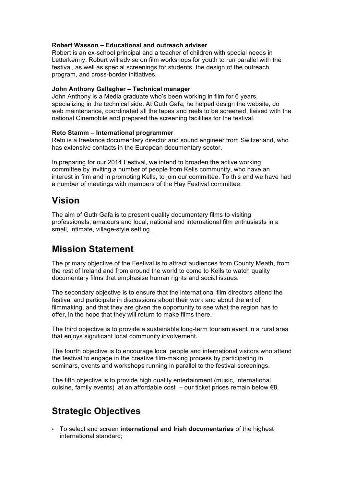### **Robert Wasson – Educational and outreach adviser**

Robert is an ex-school principal and a teacher of children with special needs in Letterkenny. Robert will advise on film workshops for youth to run parallel with the festival, as well as special screenings for students, the design of the outreach program, and cross-border initiatives.

#### **John Anthony Gallagher – Technical manager**

John Anthony is a Media graduate who's been working in film for 6 years, specializing in the technical side. At Guth Gafa, he helped design the website, do web maintenance, coordinated all the tapes and reels to be screened, liaised with the national Cinemobile and prepared the screening facilities for the festival.

### **Reto Stamm – International programmer**

Reto is a freelance documentary director and sound engineer from Switzerland, who has extensive contacts in the European documentary sector.

In preparing for our 2014 Festival, we intend to broaden the active working committee by inviting a number of people from Kells community, who have an interest in film and in promoting Kells, to join our committee. To this end we have had a number of meetings with members of the Hay Festival committee.

# **Vision**

The aim of Guth Gafa is to present quality documentary films to visiting professionals, amateurs and local, national and international film enthusiasts in a small, intimate, village-style setting.

### **Mission Statement**

The primary objective of the Festival is to attract audiences from County Meath, from the rest of Ireland and from around the world to come to Kells to watch quality documentary films that emphasise human rights and social issues.

The secondary objective is to ensure that the international film directors attend the festival and participate in discussions about their work and about the art of filmmaking, and that they are given the opportunity to see what the region has to offer, in the hope that they will return to make films there.

The third objective is to provide a sustainable long-term tourism event in a rural area that enjoys significant local community involvement.

The fourth objective is to encourage local people and international visitors who attend the festival to engage in the creative film-making process by participating in seminars, events and workshops running in parallel to the festival screenings.

The fifth objective is to provide high quality entertainment (music, international cuisine, family events) at an affordable cost  $-$  our ticket prices remain below  $\epsilon$ 8.

# **Strategic Objectives**

• To select and screen **international and Irish documentaries** of the highest international standard;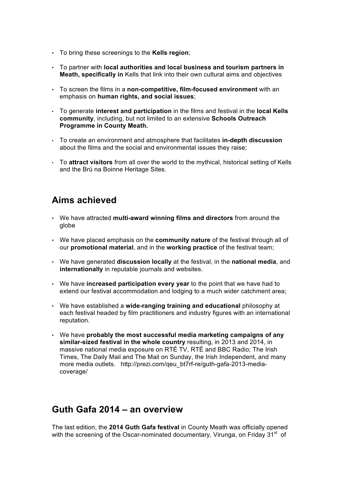- To bring these screenings to the **Kells region**;
- To partner with **local authorities and local business and tourism partners in Meath, specifically in** Kells that link into their own cultural aims and objectives
- To screen the films in a **non-competitive, film-focused environment** with an emphasis on **human rights, and social issues**;
- To generate **interest and participation** in the films and festival in the **local Kells community**, including, but not limited to an extensive **Schools Outreach Programme in County Meath.**
- To create an environment and atmosphere that facilitates **in-depth discussion** about the films and the social and environmental issues they raise;
- To **attract visitors** from all over the world to the mythical, historical setting of Kells and the Brú na Boinne Heritage Sites.

### **Aims achieved**

- We have attracted **multi-award winning films and directors** from around the globe
- We have placed emphasis on the **community nature** of the festival through all of our **promotional material**, and in the **working practice** of the festival team;
- We have generated **discussion locally** at the festival, in the **national media**, and **internationally** in reputable journals and websites.
- We have **increased participation every year** to the point that we have had to extend our festival accommodation and lodging to a much wider catchment area;
- We have established a **wide-ranging training and educational** philosophy at each festival headed by film practitioners and industry figures with an international reputation.
- We have **probably the most successful media marketing campaigns of any similar-sized festival in the whole country** resulting, in 2013 and 2014, in massive national media exposure on RTÉ TV, RTÉ and BBC Radio; The Irish Times, The Daily Mail and The Mail on Sunday, the Irish Independent, and many more media outlets. http://prezi.com/qeu\_bt7rf-re/guth-gafa-2013-mediacoverage/

### **Guth Gafa 2014 – an overview**

The last edition, the **2014 Guth Gafa festival** in County Meath was officially opened with the screening of the Oscar-nominated documentary, Virunga, on Friday  $31<sup>st</sup>$  of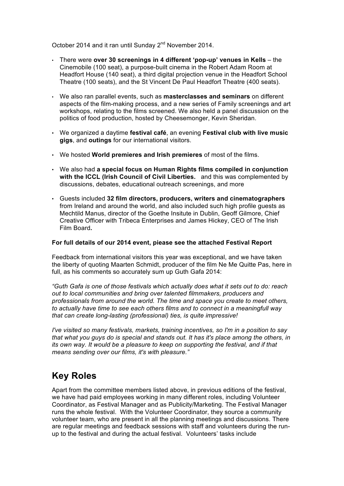October 2014 and it ran until Sunday 2<sup>nd</sup> November 2014.

- There were **over 30 screenings in 4 different 'pop-up' venues in Kells** the Cinemobile (100 seat), a purpose-built cinema in the Robert Adam Room at Headfort House (140 seat), a third digital projection venue in the Headfort School Theatre (100 seats), and the St Vincent De Paul Headfort Theatre (400 seats).
- We also ran parallel events, such as **masterclasses and seminars** on different aspects of the film-making process, and a new series of Family screenings and art workshops, relating to the films screened. We also held a panel discussion on the politics of food production, hosted by Cheesemonger, Kevin Sheridan.
- We organized a daytime **festival café**, an evening **Festival club with live music gigs**, and **outings** for our international visitors.
- We hosted **World premieres and Irish premieres** of most of the films.
- We also had **a special focus on Human Rights films compiled in conjunction with the ICCL (Irish Council of Civil Liberties.** and this was complemented by discussions, debates, educational outreach screenings, and more
- Guests included **32 film directors, producers, writers and cinematographers** from Ireland and around the world, and also included such high profile guests as Mechtild Manus, director of the Goethe Insitute in Dublin, Geoff Gilmore, Chief Creative Officer with Tribeca Enterprises and James Hickey, CEO of The Irish Film Board**.**

### **For full details of our 2014 event, piease see the attached Festival Report**

Feedback from international visitors this year was exceptional, and we have taken the liberty of quoting Maarten Schmidt, producer of the film Ne Me Quitte Pas, here in full, as his comments so accurately sum up Guth Gafa 2014:

*"Guth Gafa is one of those festivals which actually does what it sets out to do: reach out to local communities and bring over talented filmmakers, producers and professionals from around the world. The time and space you create to meet others, to actually have time to see each others films and to connect in a meaningfull way that can create long-lasting (professional) ties, is quite impressive!*

*I've visited so many festivals, markets, training incentives, so I'm in a position to say that what you guys do is special and stands out. It has it's place among the others, in its own way. It would be a pleasure to keep on supporting the festival, and if that means sending over our films, it's with pleasure."*

# **Key Roles**

Apart from the committee members listed above, in previous editions of the festival, we have had paid employees working in many different roles, including Volunteer Coordinator, as Festival Manager and as Publicity/Marketing. The Festival Manager runs the whole festival. With the Volunteer Coordinator, they source a community volunteer team, who are present in all the planning meetings and discussions. There are regular meetings and feedback sessions with staff and volunteers during the runup to the festival and during the actual festival. Volunteers' tasks include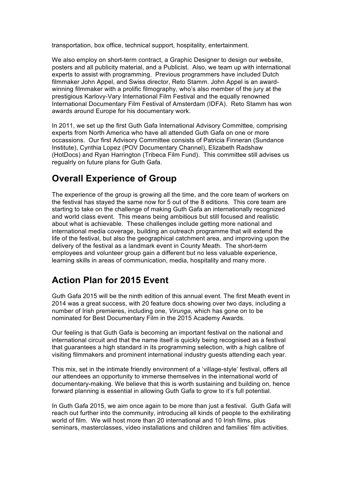transportation, box office, technical support, hospitality, entertainment.

We also employ on short-term contract, a Graphic Designer to design our website, posters and all publicity material, and a Publicist. Also, we team up with international experts to assist with programming. Previous programmers have included Dutch filmmaker John Appel, and Swiss director, Reto Stamm. John Appel is an awardwinning filmmaker with a prolific filmography, who's also member of the jury at the prestigious Karlovy-Vary International Film Festival and the equally renowned International Documentary Film Festival of Amsterdam (IDFA). Reto Stamm has won awards around Europe for his documentary work.

In 2011, we set up the first Guth Gafa International Advisory Committee, comprising experts from North America who have all attended Guth Gafa on one or more occassions. Our first Advisory Committee consists of Patricia Finneran (Sundance Institute), Cynthia Lopez (POV Documentary Channel), Elizabeth Radshaw (HotDocs) and Ryan Harrington (Tribeca Film Fund). This committee still advises us regualrly on future plans for Guth Gafa.

# **Overall Experience of Group**

The experience of the group is growing all the time, and the core team of workers on the festival has stayed the same now for 5 out of the 8 editions. This core team are starting to take on the challenge of making Guth Gafa an internationally recognized and world class event. This means being ambitious but still focused and realistic about what is achievable. These challenges include getting more national and international media coverage, building an outreach programme that will extend the life of the festival, but also the geographical catchment area, and improving upon the delivery of the festival as a landmark event in County Meath. The short-term employees and volunteer group gain a different but no less valuable experience, learning skills in areas of communication, media, hospitality and many more.

# **Action Plan for 2015 Event**

Guth Gafa 2015 will be the ninth edition of this annual event. The first Meath event in 2014 was a great success, with 20 feature docs showing over two days, including a number of Irish premieres, including one, *Virunga*, which has gone on to be nominated for Best Documentary Film in the 2015 Academy Awards.

Our feeling is that Guth Gafa is becoming an important festival on the national and international circuit and that the name itself is quickly being recognised as a festival that guarantees a high standard in its programming selection, with a high calibre of visiting filmmakers and prominent international industry guests attending each year.

This mix, set in the intimate friendly environment of a 'village-style' festival, offers all our attendees an opportunity to immerse themselves in the international world of documentary-making. We believe that this is worth sustaining and building on, hence forward planning is essential in allowing Guth Gafa to grow to it's full potential.

In Guth Gafa 2015, we aim once again to be more than just a festival. Guth Gafa will reach out further into the community, introducing all kinds of people to the exhilirating world of film. We will host more than 20 international and 10 Irish films, plus seminars, masterclasses, video installations and children and families' film activities.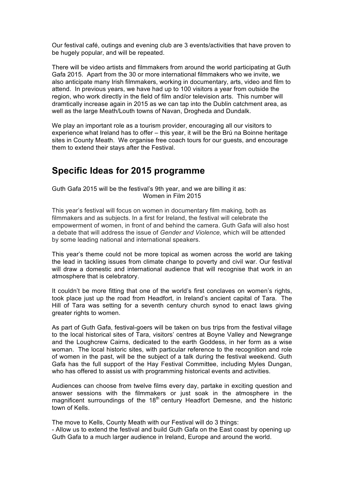Our festival café, outings and evening club are 3 events/activities that have proven to be hugely popular, and will be repeated.

There will be video artists and filmmakers from around the world participating at Guth Gafa 2015. Apart from the 30 or more international filmmakers who we invite, we also anticipate many Irish filmmakers, working in documentary, arts, video and film to attend. In previous years, we have had up to 100 visitors a year from outside the region, who work directly in the field of film and/or television arts. This number will dramtically increase again in 2015 as we can tap into the Dublin catchment area, as well as the large Meath/Louth towns of Navan, Drogheda and Dundalk.

We play an important role as a tourism provider, encouraging all our visitors to experience what Ireland has to offer – this year, it will be the Brú na Boinne heritage sites in County Meath. We organise free coach tours for our guests, and encourage them to extend their stays after the Festival.

### **Specific Ideas for 2015 programme**

Guth Gafa 2015 will be the festival's 9th year, and we are billing it as: Women in Film 2015

This year's festival will focus on women in documentary film making, both as filmmakers and as subjects. In a first for Ireland, the festival will celebrate the empowerment of women, in front of and behind the camera. Guth Gafa will also host a debate that will address the issue of *Gender and Violence,* which will be attended by some leading national and international speakers.

This year's theme could not be more topical as women across the world are taking the lead in tackling issues from climate change to poverty and civil war. Our festival will draw a domestic and international audience that will recognise that work in an atmosphere that is celebratory.

It couldn't be more fitting that one of the world's first conclaves on women's rights, took place just up the road from Headfort, in Ireland's ancient capital of Tara. The Hill of Tara was setting for a seventh century church synod to enact laws giving greater rights to women.

As part of Guth Gafa, festival-goers will be taken on bus trips from the festival village to the local historical sites of Tara, visitors' centres at Boyne Valley and Newgrange and the Loughcrew Cairns, dedicated to the earth Goddess, in her form as a wise woman. The local historic sites, with particular reference to the recognition and role of women in the past, will be the subject of a talk during the festival weekend. Guth Gafa has the full support of the Hay Festival Committee, including Myles Dungan, who has offered to assist us with programming historical events and activities.

Audiences can choose from twelve films every day, partake in exciting question and answer sessions with the filmmakers or just soak in the atmosphere in the magnificent surroundings of the 18<sup>th</sup> century Headfort Demesne, and the historic town of Kells.

The move to Kells, County Meath with our Festival will do 3 things:

- Allow us to extend the festival and build Guth Gafa on the East coast by opening up Guth Gafa to a much larger audience in Ireland, Europe and around the world.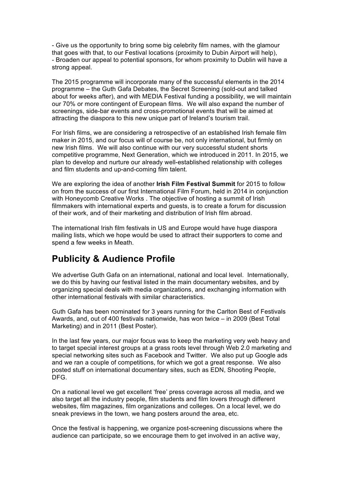- Give us the opportunity to bring some big celebrity film names, with the glamour that goes with that, to our Festival locations (proximity to Dubin Airport will help), - Broaden our appeal to potential sponsors, for whom proximity to Dublin will have a strong appeal.

The 2015 programme will incorporate many of the successful elements in the 2014 programme – the Guth Gafa Debates, the Secret Screening (sold-out and talked about for weeks after), and with MEDIA Festival funding a possibility, we will maintain our 70% or more contingent of European films. We will also expand the number of screenings, side-bar events and cross-promotional events that will be aimed at attracting the diaspora to this new unique part of Ireland's tourism trail.

For Irish films, we are considering a retrospective of an established Irish female film maker in 2015, and our focus will of course be, not only international, but firmly on new Irish films. We will also continue with our very successful student shorts competitive programme, Next Generation, which we introduced in 2011. In 2015, we plan to develop and nurture our already well-established relationship with colleges and film students and up-and-coming film talent.

We are exploring the idea of another **Irish Film Festival Summit** for 2015 to follow on from the success of our first International Film Forum, held in 2014 in conjunction with Honeycomb Creative Works . The objective of hosting a summit of Irish filmmakers with international experts and guests, is to create a forum for discussion of their work, and of their marketing and distribution of Irish film abroad.

The international Irish film festivals in US and Europe would have huge diaspora mailing lists, which we hope would be used to attract their supporters to come and spend a few weeks in Meath.

### **Publicity & Audience Profile**

We advertise Guth Gafa on an international, national and local level. Internationally, we do this by having our festival listed in the main documentary websites, and by organizing special deals with media organizations, and exchanging information with other international festivals with similar characteristics.

Guth Gafa has been nominated for 3 years running for the Carlton Best of Festivals Awards, and, out of 400 festivals nationwide, has won twice – in 2009 (Best Total Marketing) and in 2011 (Best Poster).

In the last few years, our major focus was to keep the marketing very web heavy and to target special interest groups at a grass roots level through Web 2.0 marketing and special networking sites such as Facebook and Twitter. We also put up Google ads and we ran a couple of competitions, for which we got a great response. We also posted stuff on international documentary sites, such as EDN, Shooting People, DFG.

On a national level we get excellent 'free' press coverage across all media, and we also target all the industry people, film students and film lovers through different websites, film magazines, film organizations and colleges. On a local level, we do sneak previews in the town, we hang posters around the area, etc.

Once the festival is happening, we organize post-screening discussions where the audience can participate, so we encourage them to get involved in an active way,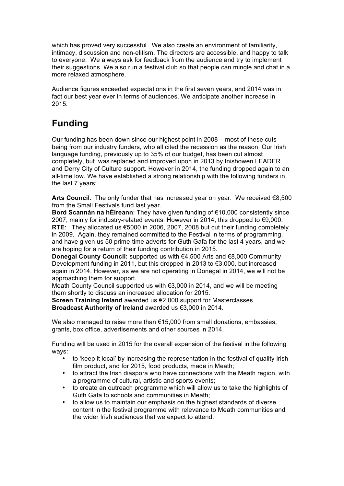which has proved very successful. We also create an environment of familiarity, intimacy, discussion and non-elitism. The directors are accessible, and happy to talk to everyone. We always ask for feedback from the audience and try to implement their suggestions. We also run a festival club so that people can mingle and chat in a more relaxed atmosphere.

Audience figures exceeded expectations in the first seven years, and 2014 was in fact our best year ever in terms of audiences. We anticipate another increase in 2015.

# **Funding**

Our funding has been down since our highest point in 2008 – most of these cuts being from our industry funders, who all cited the recession as the reason. Our Irish language funding, previously up to 35% of our budget, has been cut almost completely, but was replaced and improved upon in 2013 by Inishowen LEADER and Derry City of Culture support. However in 2014, the funding dropped again to an all-time low. We have established a strong relationship with the following funders in the last 7 years:

**Arts Council**: The only funder that has increased year on year. We received €8,500 from the Small Festivals fund last year.

**Bord Scannán na hÉireann**: They have given funding of €10,000 consistently since 2007, mainly for industry-related events. However in 2014, this dropped to €9,000. **RTE**: They allocated us €5000 in 2006, 2007, 2008 but cut their funding completely in 2009. Again, they remained committed to the Festival in terms of programming, and have given us 50 prime-time adverts for Guth Gafa for the last 4 years, and we are hoping for a return of their funding contribution in 2015.

**Donegal County Council:** supported us with €4,500 Arts and €8,000 Community Development funding in 2011, but this dropped in 2013 to €3,000, but increased again in 2014. However, as we are not operating in Donegal in 2014, we will not be approaching them for support.

Meath County Council supported us with €3,000 in 2014, and we will be meeting them shortly to discuss an increased allocation for 2015.

**Screen Training Ireland** awarded us €2,000 support for Masterclasses. **Broadcast Authority of Ireland** awarded us €3,000 in 2014.

We also managed to raise more than  $E$ 15,000 from small donations, embassies, grants, box office, advertisements and other sources in 2014.

Funding will be used in 2015 for the overall expansion of the festival in the following ways:

- to 'keep it local' by increasing the representation in the festival of quality Irish film product, and for 2015, food products, made in Meath;
- to attract the Irish diaspora who have connections with the Meath region, with a programme of cultural, artistic and sports events;
- to create an outreach programme which will allow us to take the highlights of Guth Gafa to schools and communities in Meath;
- to allow us to maintain our emphasis on the highest standards of diverse content in the festival programme with relevance to Meath communities and the wider Irish audiences that we expect to attend.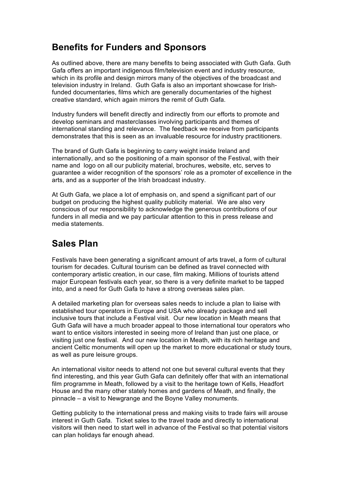# **Benefits for Funders and Sponsors**

As outlined above, there are many benefits to being associated with Guth Gafa. Guth Gafa offers an important indigenous film/television event and industry resource, which in its profile and design mirrors many of the objectives of the broadcast and television industry in Ireland. Guth Gafa is also an important showcase for Irishfunded documentaries, films which are generally documentaries of the highest creative standard, which again mirrors the remit of Guth Gafa.

Industry funders will benefit directly and indirectly from our efforts to promote and develop seminars and masterclasses involving participants and themes of international standing and relevance. The feedback we receive from participants demonstrates that this is seen as an invaluable resource for industry practitioners.

The brand of Guth Gafa is beginning to carry weight inside Ireland and internationally, and so the positioning of a main sponsor of the Festival, with their name and logo on all our publicity material, brochures, website, etc, serves to guarantee a wider recognition of the sponsors' role as a promoter of excellence in the arts, and as a supporter of the Irish broadcast industry.

At Guth Gafa, we place a lot of emphasis on, and spend a significant part of our budget on producing the highest quality publicity material. We are also very conscious of our responsibility to acknowledge the generous contributions of our funders in all media and we pay particular attention to this in press release and media statements.

# **Sales Plan**

Festivals have been generating a significant amount of arts travel, a form of cultural tourism for decades. Cultural tourism can be defined as travel connected with contemporary artistic creation, in our case, film making. Millions of tourists attend major European festivals each year, so there is a very definite market to be tapped into, and a need for Guth Gafa to have a strong overseas sales plan.

A detailed marketing plan for overseas sales needs to include a plan to liaise with established tour operators in Europe and USA who already package and sell inclusive tours that include a Festival visit. Our new location in Meath means that Guth Gafa will have a much broader appeal to those international tour operators who want to entice visitors interested in seeing more of Ireland than just one place, or visiting just one festival. And our new location in Meath, with its rich heritage and ancient Celtic monuments will open up the market to more educational or study tours, as well as pure leisure groups.

An international visitor needs to attend not one but several cultural events that they find interesting, and this year Guth Gafa can definitely offer that with an international film programme in Meath, followed by a visit to the heritage town of Kells, Headfort House and the many other stately homes and gardens of Meath, and finally, the pinnacle – a visit to Newgrange and the Boyne Valley monuments.

Getting publicity to the international press and making visits to trade fairs will arouse interest in Guth Gafa. Ticket sales to the travel trade and directly to international visitors will then need to start well in advance of the Festival so that potential visitors can plan holidays far enough ahead.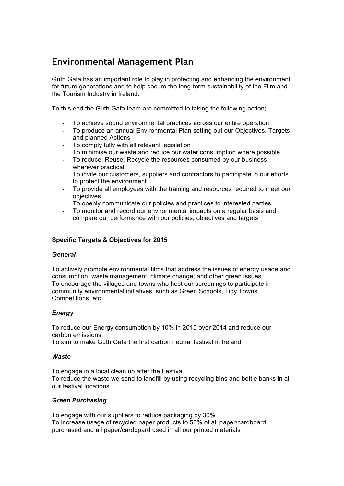# **Environmental Management Plan**

Guth Gafa has an important role to play in protecting and enhancing the environment for future generations and to help secure the long-term sustainability of the Film and the Tourism Industry in Ireland.

To this end the Guth Gafa team are committed to taking the following action;

- To achieve sound environmental practices across our entire operation
- To produce an annual Environmental Plan setting out our Objectives, Targets and planned Actions
- To comply fully with all relevant legislation
- To minimise our waste and reduce our water consumption where possible
- To reduce, Reuse, Recycle the resources consumed by our business wherever practical
- To invite our customers, suppliers and contractors to participate in our efforts to protect the environment
- To provide all employees with the training and resources required to meet our objectives
- To openly communicate our policies and practices to interested parties
- To monitor and record our environmental impacts on a regular basis and compare our performance with our policies, objectives and targets

### **Specific Targets & Objectives for 2015**

#### *General*

To actively promote environmental films that address the issues of energy usage and consumption, waste management, climate change, and other green issues To encourage the villages and towns who host our screenings to participate in community environmental initiatives, such as Green Schools, Tidy Towns Competitions, etc

#### *Energy*

To reduce our Energy consumption by 10% in 2015 over 2014 and reduce our carbon emissions.

To aim to make Guth Gafa the first carbon neutral festival in Ireland

#### *Waste*

To engage in a local clean up after the Festival To reduce the waste we send to landfill by using recycling bins and bottle banks in all our festival locations

### *Green Purchasing*

To engage with our suppliers to reduce packaging by 30% To increase usage of recycled paper products to 50% of all paper/cardboard purchased and all paper/cardbpard used in all our printed materials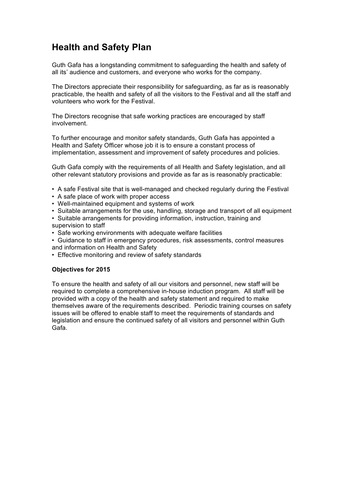# **Health and Safety Plan**

Guth Gafa has a longstanding commitment to safeguarding the health and safety of all its' audience and customers, and everyone who works for the company.

The Directors appreciate their responsibility for safeguarding, as far as is reasonably practicable, the health and safety of all the visitors to the Festival and all the staff and volunteers who work for the Festival.

The Directors recognise that safe working practices are encouraged by staff involvement.

To further encourage and monitor safety standards, Guth Gafa has appointed a Health and Safety Officer whose job it is to ensure a constant process of implementation, assessment and improvement of safety procedures and policies.

Guth Gafa comply with the requirements of all Health and Safety legislation, and all other relevant statutory provisions and provide as far as is reasonably practicable:

- A safe Festival site that is well-managed and checked regularly during the Festival
- A safe place of work with proper access
- Well-maintained equipment and systems of work
- Suitable arrangements for the use, handling, storage and transport of all equipment
- Suitable arrangements for providing information, instruction, training and

supervision to staff

- Safe working environments with adequate welfare facilities
- Guidance to staff in emergency procedures, risk assessments, control measures and information on Health and Safety
- Effective monitoring and review of safety standards

### **Objectives for 2015**

To ensure the health and safety of all our visitors and personnel, new staff will be required to complete a comprehensive in-house induction program. All staff will be provided with a copy of the health and safety statement and required to make themselves aware of the requirements described. Periodic training courses on safety issues will be offered to enable staff to meet the requirements of standards and legislation and ensure the continued safety of all visitors and personnel within Guth Gafa.